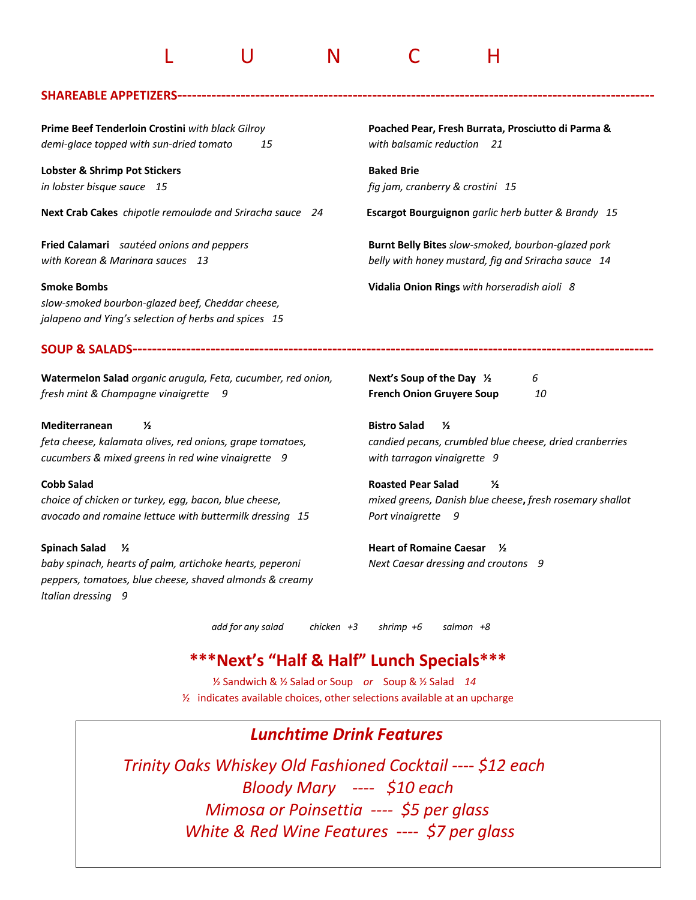# L U N C H

#### **SHAREABLE APPETIZERS-----**

*demi-glace topped with sun-dried tomato 15 with balsamic reduction 21*

**Lobster & Shrimp Pot Stickers Baked Brie Baked Brie** 

**Next Crab Cakes** *chipotle remoulade and Sriracha sauce 24* **Escargot Bourguignon** *garlic herb butter & Brandy 15*

*slow-smoked bourbon-glazed beef, Cheddar cheese, jalapeno and Ying's selection of herbs and spices 15*

**Prime Beef Tenderloin Crostini** *with black Gilroy* **Poached Pear, Fresh Burrata, Prosciutto di Parma &** 

*in lobster bisque sauce 15 fig jam, cranberry & crostini 15*

**Fried Calamari** *sautéed onions and peppers* **Burnt Belly Bites** *slow-smoked, bourbon-glazed pork with Korean & Marinara sauces 13 belly with honey mustard, fig and Sriracha sauce 14*

**Smoke Bombs Vidalia Onion Rings** *with horseradish aioli 8*

#### **SOUP & SALADS-----------------------------------------------------------------------------------------------------------**

**Watermelon Salad** *organic arugula, Feta, cucumber, red onion,* **Next's Soup of the Day ½** *6 fresh mint & Champagne vinaigrette 9* **French Onion Gruyere Soup** *10*

#### **Mediterranean ½ Bistro Salad ½**

*feta cheese, kalamata olives, red onions, grape tomatoes, candied pecans, crumbled blue cheese, dried cranberries cucumbers & mixed greens in red wine vinaigrette 9 with tarragon vinaigrette 9* 

*avocado and romaine lettuce with buttermilk dressing 15 Port vinaigrette 9* 

*baby spinach, hearts of palm, artichoke hearts, peperoni Next Caesar dressing and croutons 9 peppers, tomatoes, blue cheese, shaved almonds & creamy Italian dressing 9*

**Cobb Salad Roasted Pear Salad ½**  *choice of chicken or turkey, egg, bacon, blue cheese, mixed greens, Danish blue cheese***,** *fresh rosemary shallot*

**Spinach Salad ½ Heart of Romaine Caesar ½** 

 *add for any salad chicken +3 shrimp +6 salmon +8* 

# **\*\*\*Next's "Half & Half" Lunch Specials\*\*\***

½ Sandwich & ½ Salad or Soup *or* Soup & ½ Salad *14* ½ indicates available choices, other selections available at an upcharge

## *Lunchtime Drink Features*

*Trinity Oaks Whiskey Old Fashioned Cocktail ---- \$12 each Bloody Mary ---- \$10 each Mimosa or Poinsettia ---- \$5 per glass White & Red Wine Features ---- \$7 per glass*